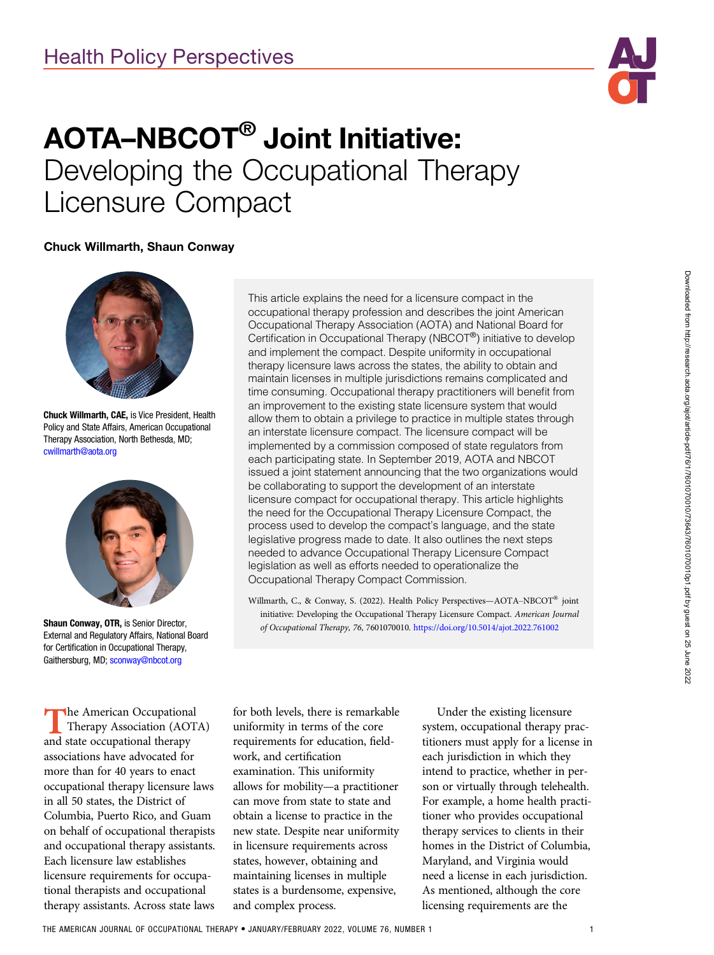

# AOTA–NBCOT® Joint Initiative: Developing the Occupational Therapy<br>Licensure Compact Licensure Compact

## Chuck Willmarth, Shaun Conway



Chuck Willmarth, CAE, is Vice President, Health Policy and State Affairs, American Occupational Therapy Association, North Bethesda, MD; [cwillmarth@aota.org](mailto:cwillmarth@aota.org)



Shaun Conway, OTR, is Senior Director, External and Regulatory Affairs, National Board for Certification in Occupational Therapy, Gaithersburg, MD; [sconway@nbcot.org](mailto:sconway@nbcot.org)

**The American Occupational** Therapy Association (AOTA) and state occupational therapy associations have advocated for more than for 40 years to enact occupational therapy licensure laws in all 50 states, the District of Columbia, Puerto Rico, and Guam on behalf of occupational therapists and occupational therapy assistants. Each licensure law establishes licensure requirements for occupational therapists and occupational therapy assistants. Across state laws

This article explains the need for a licensure compact in the occupational therapy profession and describes the joint American Occupational Therapy Association (AOTA) and National Board for Certification in Occupational Therapy (NBCOT®) initiative to develop and implement the compact. Despite uniformity in occupational therapy licensure laws across the states, the ability to obtain and maintain licenses in multiple jurisdictions remains complicated and time consuming. Occupational therapy practitioners will benefit from an improvement to the existing state licensure system that would allow them to obtain a privilege to practice in multiple states through an interstate licensure compact. The licensure compact will be implemented by a commission composed of state regulators from each participating state. In September 2019, AOTA and NBCOT issued a joint statement announcing that the two organizations would be collaborating to support the development of an interstate licensure compact for occupational therapy. This article highlights the need for the Occupational Therapy Licensure Compact, the process used to develop the compact's language, and the state legislative progress made to date. It also outlines the next steps needed to advance Occupational Therapy Licensure Compact legislation as well as efforts needed to operationalize the Occupational Therapy Compact Commission.

Willmarth, C., & Conway, S. (2022). Health Policy Perspectives—AOTA–NBCOT® joint initiative: Developing the Occupational Therapy Licensure Compact. American Journal of Occupational Therapy, 76, 7601070010. https://doi.org/10.5014/ajot.2022.761002

for both levels, there is remarkable uniformity in terms of the core requirements for education, fieldwork, and certification examination. This uniformity allows for mobility—a practitioner can move from state to state and obtain a license to practice in the new state. Despite near uniformity in licensure requirements across states, however, obtaining and maintaining licenses in multiple states is a burdensome, expensive, and complex process.

Under the existing licensure system, occupational therapy practitioners must apply for a license in each jurisdiction in which they intend to practice, whether in person or virtually through telehealth. For example, a home health practitioner who provides occupational therapy services to clients in their homes in the District of Columbia, Maryland, and Virginia would need a license in each jurisdiction. As mentioned, although the core licensing requirements are the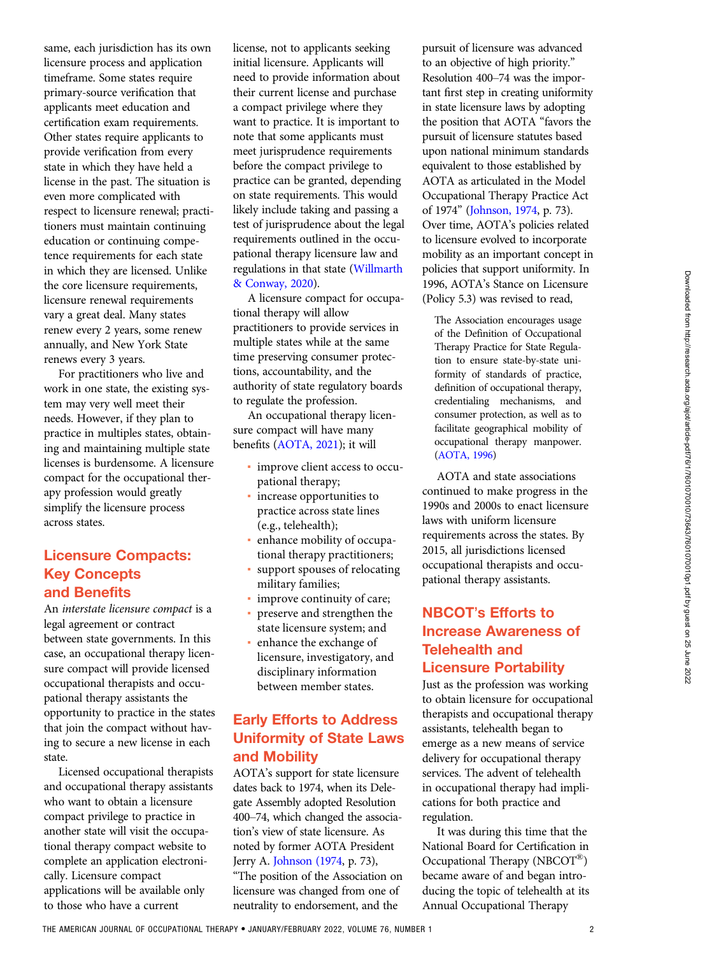same, each jurisdiction has its own licensure process and application timeframe. Some states require primary-source verification that applicants meet education and certification exam requirements. Other states require applicants to provide verification from every state in which they have held a license in the past. The situation is even more complicated with respect to licensure renewal; practitioners must maintain continuing education or continuing competence requirements for each state in which they are licensed. Unlike the core licensure requirements, licensure renewal requirements vary a great deal. Many states renew every 2 years, some renew annually, and New York State renews every 3 years.

For practitioners who live and work in one state, the existing system may very well meet their needs. However, if they plan to practice in multiples states, obtaining and maintaining multiple state licenses is burdensome. A licensure compact for the occupational therapy profession would greatly simplify the licensure process across states.

# Licensure Compacts: Key Concepts and Benefits

An interstate licensure compact is a legal agreement or contract between state governments. In this case, an occupational therapy licensure compact will provide licensed occupational therapists and occupational therapy assistants the opportunity to practice in the states that join the compact without having to secure a new license in each state.

Licensed occupational therapists and occupational therapy assistants who want to obtain a licensure compact privilege to practice in another state will visit the occupational therapy compact website to complete an application electronically. Licensure compact applications will be available only to those who have a current

license, not to applicants seeking initial licensure. Applicants will need to provide information about their current license and purchase a compact privilege where they want to practice. It is important to note that some applicants must meet jurisprudence requirements before the compact privilege to practice can be granted, depending on state requirements. This would likely include taking and passing a test of jurisprudence about the legal requirements outlined in the occupational therapy licensure law and regulations in that state [\(Willmarth](#page-6-0) [& Conway, 2020](#page-6-0)).

A licensure compact for occupational therapy will allow practitioners to provide services in multiple states while at the same time preserving consumer protections, accountability, and the authority of state regulatory boards to regulate the profession.

An occupational therapy licensure compact will have many benefits [\(AOTA, 2021](#page-6-0)); it will

- improve client access to occupational therapy;
- increase opportunities to practice across state lines (e.g., telehealth);
- enhance mobility of occupational therapy practitioners;
- support spouses of relocating military families;
- **·** improve continuity of care;
- preserve and strengthen the state licensure system; and
- **e** enhance the exchange of licensure, investigatory, and disciplinary information between member states.

# Early Efforts to Address Uniformity of State Laws and Mobility

AOTA's support for state licensure dates back to 1974, when its Delegate Assembly adopted Resolution 400–74, which changed the association's view of state licensure. As noted by former AOTA President Jerry A. [Johnson \(1974](#page-6-0), p. 73), "The position of the Association on licensure was changed from one of neutrality to endorsement, and the

pursuit of licensure was advanced to an objective of high priority." Resolution 400–74 was the important first step in creating uniformity in state licensure laws by adopting the position that AOTA "favors the pursuit of licensure statutes based upon national minimum standards equivalent to those established by AOTA as articulated in the Model Occupational Therapy Practice Act of 1974" [\(Johnson, 1974,](#page-6-0) p. 73). Over time, AOTA's policies related to licensure evolved to incorporate mobility as an important concept in policies that support uniformity. In 1996, AOTA's Stance on Licensure (Policy 5.3) was revised to read,

The Association encourages usage of the Definition of Occupational Therapy Practice for State Regulation to ensure state-by-state uniformity of standards of practice, definition of occupational therapy, credentialing mechanisms, and consumer protection, as well as to facilitate geographical mobility of occupational therapy manpower. ([AOTA, 1996\)](#page-6-0)

AOTA and state associations continued to make progress in the 1990s and 2000s to enact licensure laws with uniform licensure requirements across the states. By 2015, all jurisdictions licensed occupational therapists and occupational therapy assistants.

# NBCOT's Efforts to Increase Awareness of Telehealth and Licensure Portability

Just as the profession was working to obtain licensure for occupational therapists and occupational therapy assistants, telehealth began to emerge as a new means of service delivery for occupational therapy services. The advent of telehealth in occupational therapy had implications for both practice and regulation.

It was during this time that the National Board for Certification in Occupational Therapy (NBCOT®) became aware of and began introducing the topic of telehealth at its Annual Occupational Therapy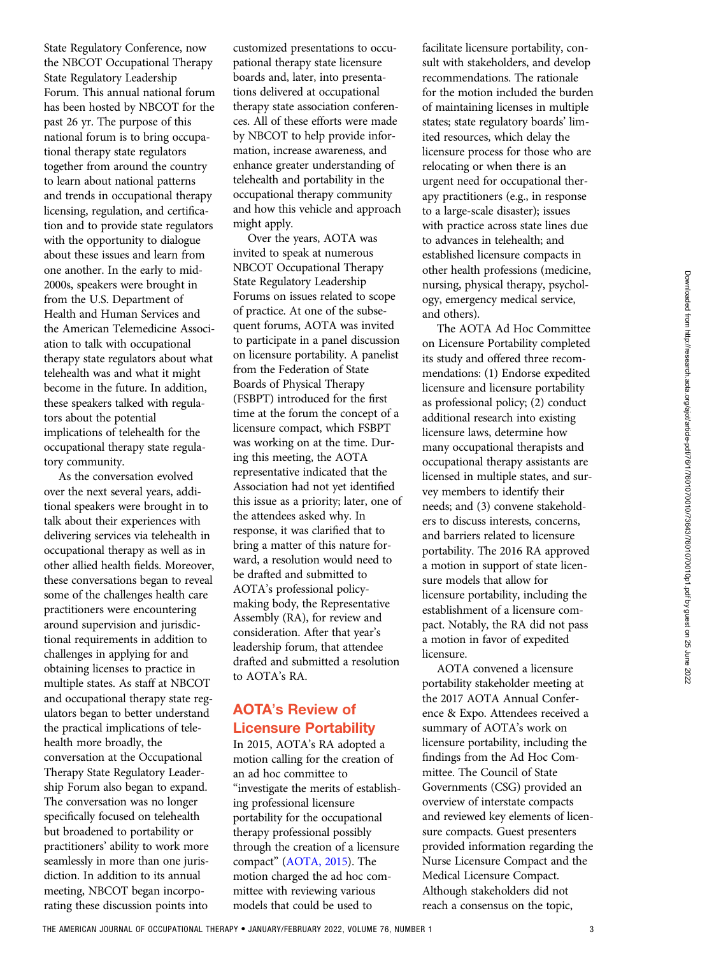State Regulatory Conference, now the NBCOT Occupational Therapy State Regulatory Leadership Forum. This annual national forum has been hosted by NBCOT for the past 26 yr. The purpose of this national forum is to bring occupational therapy state regulators together from around the country to learn about national patterns and trends in occupational therapy licensing, regulation, and certification and to provide state regulators with the opportunity to dialogue about these issues and learn from one another. In the early to mid-2000s, speakers were brought in from the U.S. Department of Health and Human Services and the American Telemedicine Association to talk with occupational therapy state regulators about what telehealth was and what it might become in the future. In addition, these speakers talked with regulators about the potential implications of telehealth for the occupational therapy state regulatory community.

As the conversation evolved over the next several years, additional speakers were brought in to talk about their experiences with delivering services via telehealth in occupational therapy as well as in other allied health fields. Moreover, these conversations began to reveal some of the challenges health care practitioners were encountering around supervision and jurisdictional requirements in addition to challenges in applying for and obtaining licenses to practice in multiple states. As staff at NBCOT and occupational therapy state regulators began to better understand the practical implications of telehealth more broadly, the conversation at the Occupational Therapy State Regulatory Leadership Forum also began to expand. The conversation was no longer specifically focused on telehealth but broadened to portability or practitioners' ability to work more seamlessly in more than one jurisdiction. In addition to its annual meeting, NBCOT began incorporating these discussion points into

customized presentations to occupational therapy state licensure boards and, later, into presentations delivered at occupational therapy state association conferences. All of these efforts were made by NBCOT to help provide information, increase awareness, and enhance greater understanding of telehealth and portability in the occupational therapy community and how this vehicle and approach might apply.

Over the years, AOTA was invited to speak at numerous NBCOT Occupational Therapy State Regulatory Leadership Forums on issues related to scope of practice. At one of the subsequent forums, AOTA was invited to participate in a panel discussion on licensure portability. A panelist from the Federation of State Boards of Physical Therapy (FSBPT) introduced for the first time at the forum the concept of a licensure compact, which FSBPT was working on at the time. During this meeting, the AOTA representative indicated that the Association had not yet identified this issue as a priority; later, one of the attendees asked why. In response, it was clarified that to bring a matter of this nature forward, a resolution would need to be drafted and submitted to AOTA's professional policymaking body, the Representative Assembly (RA), for review and consideration. After that year's leadership forum, that attendee drafted and submitted a resolution to AOTA's RA.

# AOTA's Review of Licensure Portability

In 2015, AOTA's RA adopted a motion calling for the creation of an ad hoc committee to "investigate the merits of establishing professional licensure portability for the occupational therapy professional possibly through the creation of a licensure compact" [\(AOTA, 2015\)](#page-6-0). The motion charged the ad hoc committee with reviewing various models that could be used to

facilitate licensure portability, consult with stakeholders, and develop recommendations. The rationale for the motion included the burden of maintaining licenses in multiple states; state regulatory boards' limited resources, which delay the licensure process for those who are relocating or when there is an urgent need for occupational therapy practitioners (e.g., in response to a large-scale disaster); issues with practice across state lines due to advances in telehealth; and established licensure compacts in other health professions (medicine, nursing, physical therapy, psychology, emergency medical service, and others).

The AOTA Ad Hoc Committee on Licensure Portability completed its study and offered three recommendations: (1) Endorse expedited licensure and licensure portability as professional policy; (2) conduct additional research into existing licensure laws, determine how many occupational therapists and occupational therapy assistants are licensed in multiple states, and survey members to identify their needs; and (3) convene stakeholders to discuss interests, concerns, and barriers related to licensure portability. The 2016 RA approved a motion in support of state licensure models that allow for licensure portability, including the establishment of a licensure compact. Notably, the RA did not pass a motion in favor of expedited licensure.

AOTA convened a licensure portability stakeholder meeting at the 2017 AOTA Annual Conference & Expo. Attendees received a summary of AOTA's work on licensure portability, including the findings from the Ad Hoc Committee. The Council of State Governments (CSG) provided an overview of interstate compacts and reviewed key elements of licensure compacts. Guest presenters provided information regarding the Nurse Licensure Compact and the Medical Licensure Compact. Although stakeholders did not reach a consensus on the topic,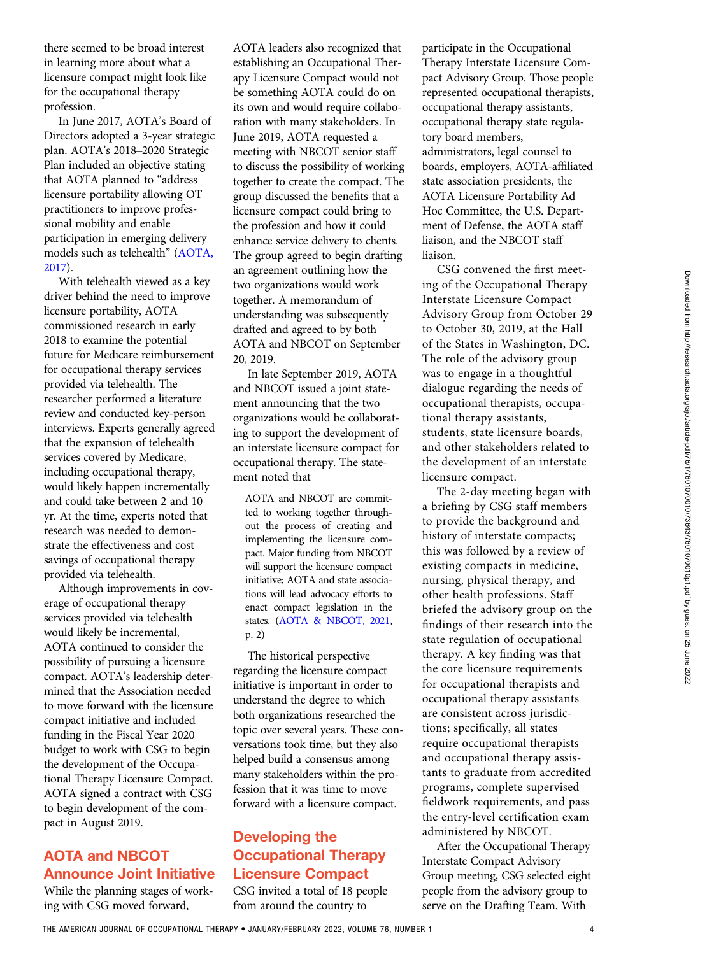there seemed to be broad interest in learning more about what a licensure compact might look like for the occupational therapy profession.

In June 2017, AOTA's Board of Directors adopted a 3-year strategic plan. AOTA's 2018–2020 Strategic Plan included an objective stating that AOTA planned to "address licensure portability allowing OT practitioners to improve professional mobility and enable participation in emerging delivery models such as telehealth" ([AOTA,](#page-6-0) [2017](#page-6-0)).

With telehealth viewed as a key driver behind the need to improve licensure portability, AOTA commissioned research in early 2018 to examine the potential future for Medicare reimbursement for occupational therapy services provided via telehealth. The researcher performed a literature review and conducted key-person interviews. Experts generally agreed that the expansion of telehealth services covered by Medicare, including occupational therapy, would likely happen incrementally and could take between 2 and 10 yr. At the time, experts noted that research was needed to demonstrate the effectiveness and cost savings of occupational therapy provided via telehealth.

Although improvements in coverage of occupational therapy services provided via telehealth would likely be incremental, AOTA continued to consider the possibility of pursuing a licensure compact. AOTA's leadership determined that the Association needed to move forward with the licensure compact initiative and included funding in the Fiscal Year 2020 budget to work with CSG to begin the development of the Occupational Therapy Licensure Compact. AOTA signed a contract with CSG to begin development of the compact in August 2019.

# AOTA and NBCOT Announce Joint Initiative

While the planning stages of working with CSG moved forward,

AOTA leaders also recognized that establishing an Occupational Therapy Licensure Compact would not be something AOTA could do on its own and would require collaboration with many stakeholders. In June 2019, AOTA requested a meeting with NBCOT senior staff to discuss the possibility of working together to create the compact. The group discussed the benefits that a licensure compact could bring to the profession and how it could enhance service delivery to clients. The group agreed to begin drafting an agreement outlining how the two organizations would work together. A memorandum of understanding was subsequently drafted and agreed to by both AOTA and NBCOT on September 20, 2019.

In late September 2019, AOTA and NBCOT issued a joint statement announcing that the two organizations would be collaborating to support the development of an interstate licensure compact for occupational therapy. The statement noted that

AOTA and NBCOT are committed to working together throughout the process of creating and implementing the licensure compact. Major funding from NBCOT will support the licensure compact initiative; AOTA and state associations will lead advocacy efforts to enact compact legislation in the states. ([AOTA & NBCOT, 2021](#page-6-0), p. 2)

The historical perspective regarding the licensure compact initiative is important in order to understand the degree to which both organizations researched the topic over several years. These conversations took time, but they also helped build a consensus among many stakeholders within the profession that it was time to move forward with a licensure compact.

# Developing the Occupational Therapy Licensure Compact

CSG invited a total of 18 people from around the country to

participate in the Occupational Therapy Interstate Licensure Compact Advisory Group. Those people represented occupational therapists, occupational therapy assistants, occupational therapy state regulatory board members, administrators, legal counsel to boards, employers, AOTA-affiliated state association presidents, the AOTA Licensure Portability Ad Hoc Committee, the U.S. Department of Defense, the AOTA staff liaison, and the NBCOT staff liaison.

CSG convened the first meeting of the Occupational Therapy Interstate Licensure Compact Advisory Group from October 29 to October 30, 2019, at the Hall of the States in Washington, DC. The role of the advisory group was to engage in a thoughtful dialogue regarding the needs of occupational therapists, occupational therapy assistants, students, state licensure boards, and other stakeholders related to the development of an interstate licensure compact.

The 2-day meeting began with a briefing by CSG staff members to provide the background and history of interstate compacts; this was followed by a review of existing compacts in medicine, nursing, physical therapy, and other health professions. Staff briefed the advisory group on the findings of their research into the state regulation of occupational therapy. A key finding was that the core licensure requirements for occupational therapists and occupational therapy assistants are consistent across jurisdictions; specifically, all states require occupational therapists and occupational therapy assistants to graduate from accredited programs, complete supervised fieldwork requirements, and pass the entry-level certification exam administered by NBCOT.

After the Occupational Therapy Interstate Compact Advisory Group meeting, CSG selected eight people from the advisory group to serve on the Drafting Team. With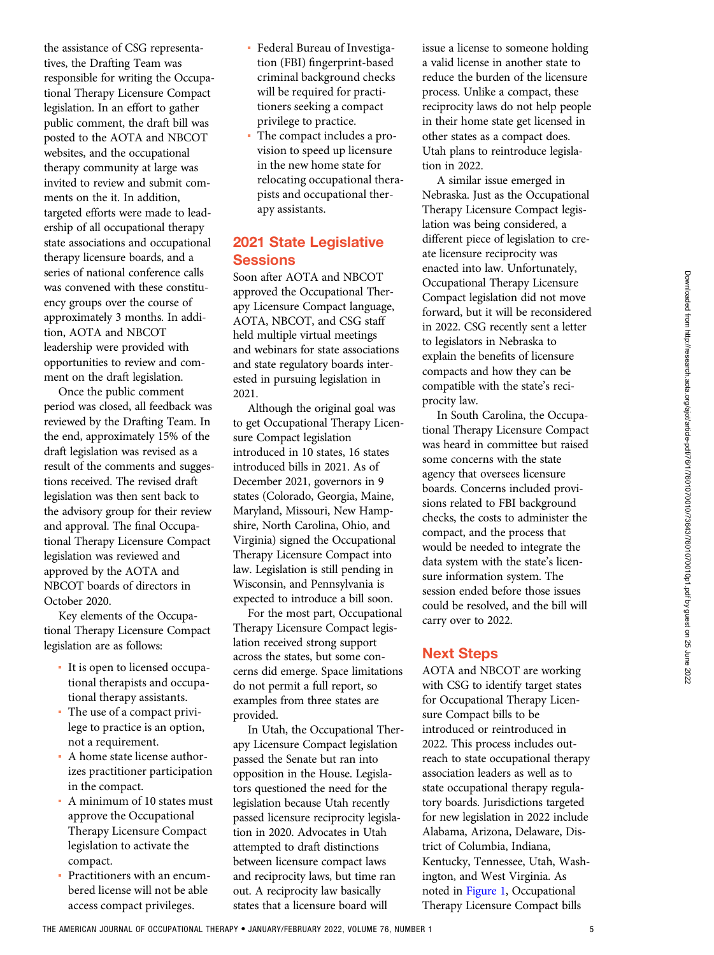the assistance of CSG representatives, the Drafting Team was responsible for writing the Occupational Therapy Licensure Compact legislation. In an effort to gather public comment, the draft bill was posted to the AOTA and NBCOT websites, and the occupational therapy community at large was invited to review and submit comments on the it. In addition, targeted efforts were made to leadership of all occupational therapy state associations and occupational therapy licensure boards, and a series of national conference calls was convened with these constituency groups over the course of approximately 3 months. In addition, AOTA and NBCOT leadership were provided with opportunities to review and comment on the draft legislation.

Once the public comment period was closed, all feedback was reviewed by the Drafting Team. In the end, approximately 15% of the draft legislation was revised as a result of the comments and suggestions received. The revised draft legislation was then sent back to the advisory group for their review and approval. The final Occupational Therapy Licensure Compact legislation was reviewed and approved by the AOTA and NBCOT boards of directors in October 2020.

Key elements of the Occupational Therapy Licensure Compact legislation are as follows:

- It is open to licensed occupational therapists and occupational therapy assistants.
- The use of a compact privilege to practice is an option, not a requirement.
- A home state license authorizes practitioner participation in the compact.
- A minimum of 10 states must approve the Occupational Therapy Licensure Compact legislation to activate the compact.
- Practitioners with an encumbered license will not be able access compact privileges.
- Federal Bureau of Investigation (FBI) fingerprint-based criminal background checks will be required for practitioners seeking a compact privilege to practice.
- The compact includes a provision to speed up licensure in the new home state for relocating occupational therapists and occupational therapy assistants.

## 2021 State Legislative **Sessions**

Soon after AOTA and NBCOT approved the Occupational Therapy Licensure Compact language, AOTA, NBCOT, and CSG staff held multiple virtual meetings and webinars for state associations and state regulatory boards interested in pursuing legislation in 2021.

Although the original goal was to get Occupational Therapy Licensure Compact legislation introduced in 10 states, 16 states introduced bills in 2021. As of December 2021, governors in 9 states (Colorado, Georgia, Maine, Maryland, Missouri, New Hampshire, North Carolina, Ohio, and Virginia) signed the Occupational Therapy Licensure Compact into law. Legislation is still pending in Wisconsin, and Pennsylvania is expected to introduce a bill soon.

For the most part, Occupational Therapy Licensure Compact legislation received strong support across the states, but some concerns did emerge. Space limitations do not permit a full report, so examples from three states are provided.

In Utah, the Occupational Therapy Licensure Compact legislation passed the Senate but ran into opposition in the House. Legislators questioned the need for the legislation because Utah recently passed licensure reciprocity legislation in 2020. Advocates in Utah attempted to draft distinctions between licensure compact laws and reciprocity laws, but time ran out. A reciprocity law basically states that a licensure board will

issue a license to someone holding a valid license in another state to reduce the burden of the licensure process. Unlike a compact, these reciprocity laws do not help people in their home state get licensed in other states as a compact does. Utah plans to reintroduce legislation in 2022.

A similar issue emerged in Nebraska. Just as the Occupational Therapy Licensure Compact legislation was being considered, a different piece of legislation to create licensure reciprocity was enacted into law. Unfortunately, Occupational Therapy Licensure Compact legislation did not move forward, but it will be reconsidered in 2022. CSG recently sent a letter to legislators in Nebraska to explain the benefits of licensure compacts and how they can be compatible with the state's reciprocity law.

In South Carolina, the Occupational Therapy Licensure Compact was heard in committee but raised some concerns with the state agency that oversees licensure boards. Concerns included provisions related to FBI background checks, the costs to administer the compact, and the process that would be needed to integrate the data system with the state's licensure information system. The session ended before those issues could be resolved, and the bill will carry over to 2022.

## Next Steps

AOTA and NBCOT are working with CSG to identify target states for Occupational Therapy Licensure Compact bills to be introduced or reintroduced in 2022. This process includes outreach to state occupational therapy association leaders as well as to state occupational therapy regulatory boards. Jurisdictions targeted for new legislation in 2022 include Alabama, Arizona, Delaware, District of Columbia, Indiana, Kentucky, Tennessee, Utah, Washington, and West Virginia. As noted in [Figure 1](#page-5-0), Occupational Therapy Licensure Compact bills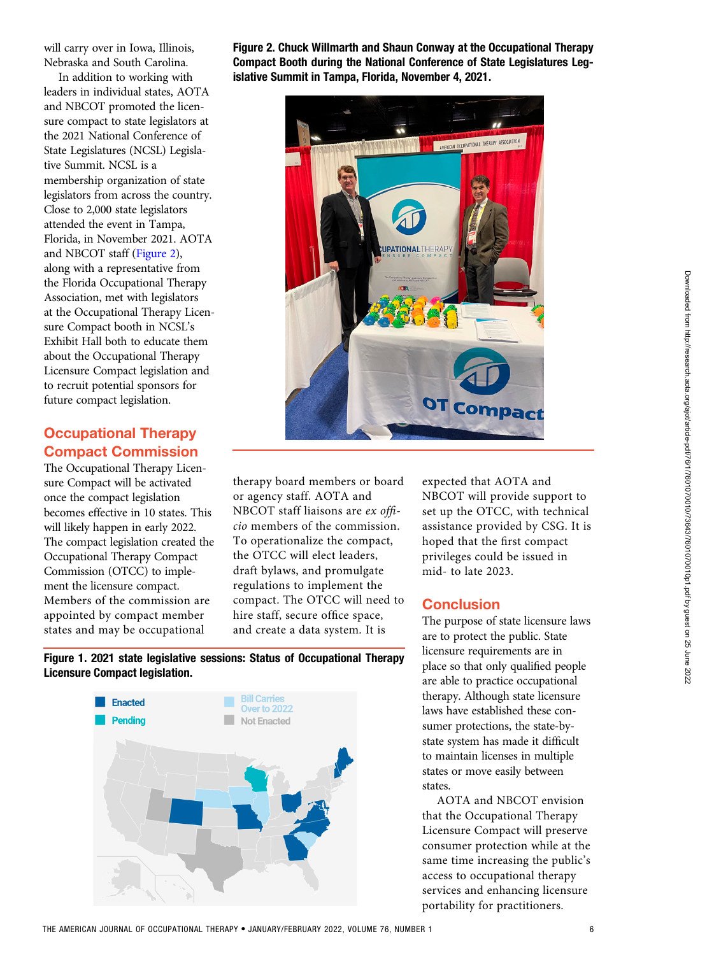<span id="page-5-0"></span>will carry over in Iowa, Illinois, Nebraska and South Carolina.

In addition to working with leaders in individual states, AOTA and NBCOT promoted the licensure compact to state legislators at the 2021 National Conference of State Legislatures (NCSL) Legislative Summit. NCSL is a membership organization of state legislators from across the country. Close to 2,000 state legislators attended the event in Tampa, Florida, in November 2021. AOTA and NBCOT staff (Figure 2), along with a representative from the Florida Occupational Therapy Association, met with legislators at the Occupational Therapy Licensure Compact booth in NCSL's Exhibit Hall both to educate them about the Occupational Therapy Licensure Compact legislation and to recruit potential sponsors for future compact legislation.

# Occupational Therapy Compact Commission

The Occupational Therapy Licensure Compact will be activated once the compact legislation becomes effective in 10 states. This will likely happen in early 2022. The compact legislation created the Occupational Therapy Compact Commission (OTCC) to implement the licensure compact. Members of the commission are appointed by compact member states and may be occupational

Figure 2. Chuck Willmarth and Shaun Conway at the Occupational Therapy Compact Booth during the National Conference of State Legislatures Legislative Summit in Tampa, Florida, November 4, 2021.



therapy board members or board or agency staff. AOTA and NBCOT staff liaisons are ex officio members of the commission. To operationalize the compact, the OTCC will elect leaders, draft bylaws, and promulgate regulations to implement the compact. The OTCC will need to hire staff, secure office space, and create a data system. It is

expected that AOTA and NBCOT will provide support to set up the OTCC, with technical assistance provided by CSG. It is hoped that the first compact privileges could be issued in mid- to late 2023.

## **Conclusion**

The purpose of state licensure laws are to protect the public. State licensure requirements are in place so that only qualified people are able to practice occupational therapy. Although state licensure laws have established these consumer protections, the state-bystate system has made it difficult to maintain licenses in multiple states or move easily between states.

AOTA and NBCOT envision that the Occupational Therapy Licensure Compact will preserve consumer protection while at the same time increasing the public's access to occupational therapy services and enhancing licensure portability for practitioners.

Figure 1. 2021 state legislative sessions: Status of Occupational Therapy Licensure Compact legislation.